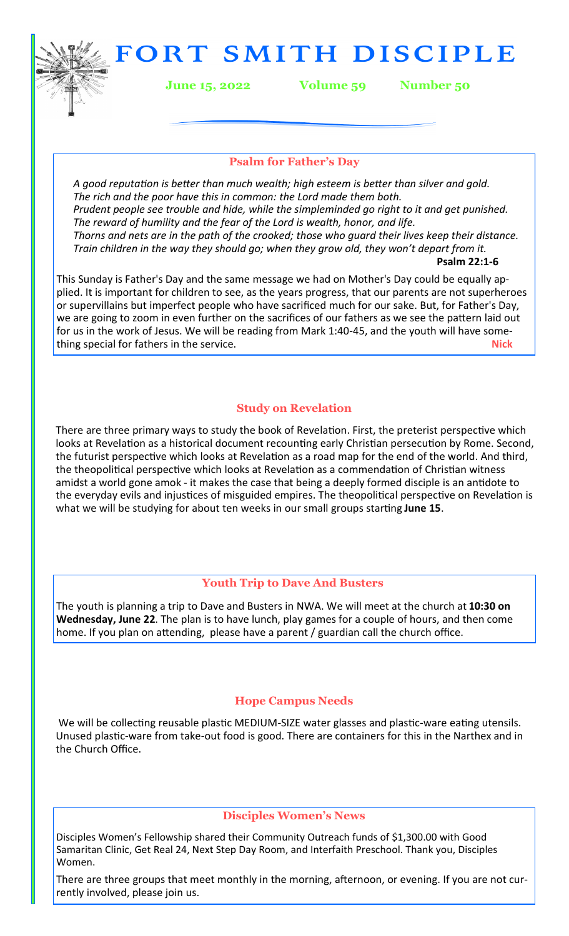FORT SMITH DISCIPLE

**June 15, 2022 Volume 59 Number 50**

## **Psalm for Father's Day**

*A good reputation is better than much wealth; high esteem is better than silver and gold. The rich and the poor have this in common: the Lord made them both. Prudent people see trouble and hide, while the simpleminded go right to it and get punished. The reward of humility and the fear of the Lord is wealth, honor, and life. Thorns and nets are in the path of the crooked; those who guard their lives keep their distance. Train children in the way they should go; when they grow old, they won't depart from it.* **Psalm 22:1-6** 

This Sunday is Father's Day and the same message we had on Mother's Day could be equally applied. It is important for children to see, as the years progress, that our parents are not superheroes or supervillains but imperfect people who have sacrificed much for our sake. But, for Father's Day, we are going to zoom in even further on the sacrifices of our fathers as we see the pattern laid out for us in the work of Jesus. We will be reading from Mark 1:40-45, and the youth will have something special for fathers in the service. **Nick**

## **Study on Revelation**

There are three primary ways to study the book of Revelation. First, the preterist perspective which looks at Revelation as a historical document recounting early Christian persecution by Rome. Second, the futurist perspective which looks at Revelation as a road map for the end of the world. And third, the theopolitical perspective which looks at Revelation as a commendation of Christian witness amidst a world gone amok - it makes the case that being a deeply formed disciple is an antidote to the everyday evils and injustices of misguided empires. The theopolitical perspective on Revelation is what we will be studying for about ten weeks in our small groups starting **June 15**.

## **Youth Trip to Dave And Busters**

The youth is planning a trip to Dave and Busters in NWA. We will meet at the church at **10:30 on Wednesday, June 22**. The plan is to have lunch, play games for a couple of hours, and then come home. If you plan on attending, please have a parent / guardian call the church office.

## **Hope Campus Needs**

We will be collecting reusable plastic MEDIUM-SIZE water glasses and plastic-ware eating utensils. Unused plastic-ware from take-out food is good. There are containers for this in the Narthex and in the Church Office.

### **Disciples Women's News**

Disciples Women's Fellowship shared their Community Outreach funds of \$1,300.00 with Good Samaritan Clinic, Get Real 24, Next Step Day Room, and Interfaith Preschool. Thank you, Disciples Women.

There are three groups that meet monthly in the morning, afternoon, or evening. If you are not currently involved, please join us.